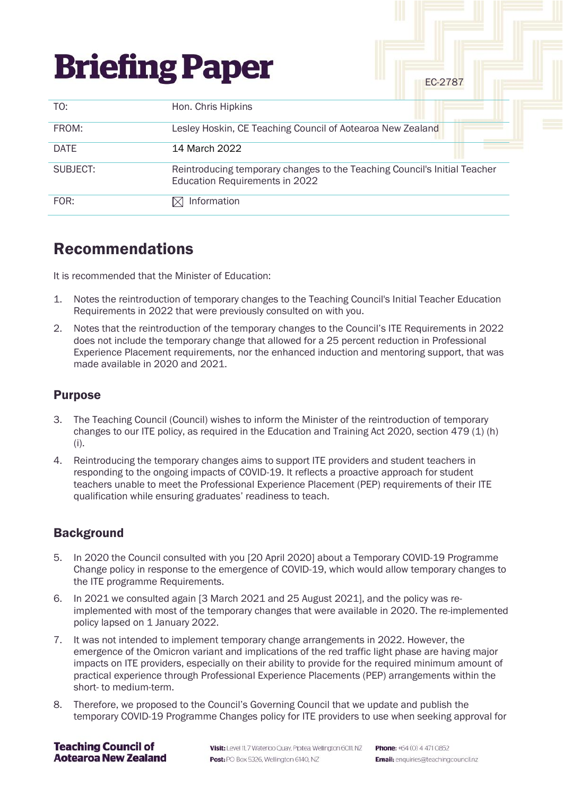| <b>Briefing Paper</b> |                                                                                                             | EC-2787 |
|-----------------------|-------------------------------------------------------------------------------------------------------------|---------|
| TO:                   | Hon. Chris Hipkins                                                                                          |         |
| FROM:                 | Lesley Hoskin, CE Teaching Council of Aotearoa New Zealand                                                  |         |
| <b>DATE</b>           | 14 March 2022                                                                                               |         |
| SUBJECT:              | Reintroducing temporary changes to the Teaching Council's Initial Teacher<br>Education Requirements in 2022 |         |
| FOR:                  | Information                                                                                                 |         |

## Recommendations

It is recommended that the Minister of Education:

- 1. Notes the reintroduction of temporary changes to the Teaching Council's Initial Teacher Education Requirements in 2022 that were previously consulted on with you.
- 2. Notes that the reintroduction of the temporary changes to the Council's ITE Requirements in 2022 does not include the temporary change that allowed for a 25 percent reduction in Professional Experience Placement requirements, nor the enhanced induction and mentoring support, that was made available in 2020 and 2021.

## **Purpose**

- 3. The Teaching Council (Council) wishes to inform the Minister of the reintroduction of temporary changes to our ITE policy, as required in the Education and Training Act 2020, section 479 (1) (h) (i).
- 4. Reintroducing the temporary changes aims to support ITE providers and student teachers in responding to the ongoing impacts of COVID-19. It reflects a proactive approach for student teachers unable to meet the Professional Experience Placement (PEP) requirements of their ITE qualification while ensuring graduates' readiness to teach.

## **Background**

- 5. In 2020 the Council consulted with you [20 April 2020] about a Temporary COVID-19 Programme Change policy in response to the emergence of COVID-19, which would allow temporary changes to the ITE programme Requirements.
- 6. In 2021 we consulted again [3 March 2021 and 25 August 2021], and the policy was reimplemented with most of the temporary changes that were available in 2020. The re-implemented policy lapsed on 1 January 2022.
- 7. It was not intended to implement temporary change arrangements in 2022. However, the emergence of the Omicron variant and implications of the red traffic light phase are having major impacts on ITE providers, especially on their ability to provide for the required minimum amount of practical experience through Professional Experience Placements (PEP) arrangements within the short- to medium-term.
- 8. Therefore, we proposed to the Council's Governing Council that we update and publish the temporary COVID-19 Programme Changes policy for ITE providers to use when seeking approval for